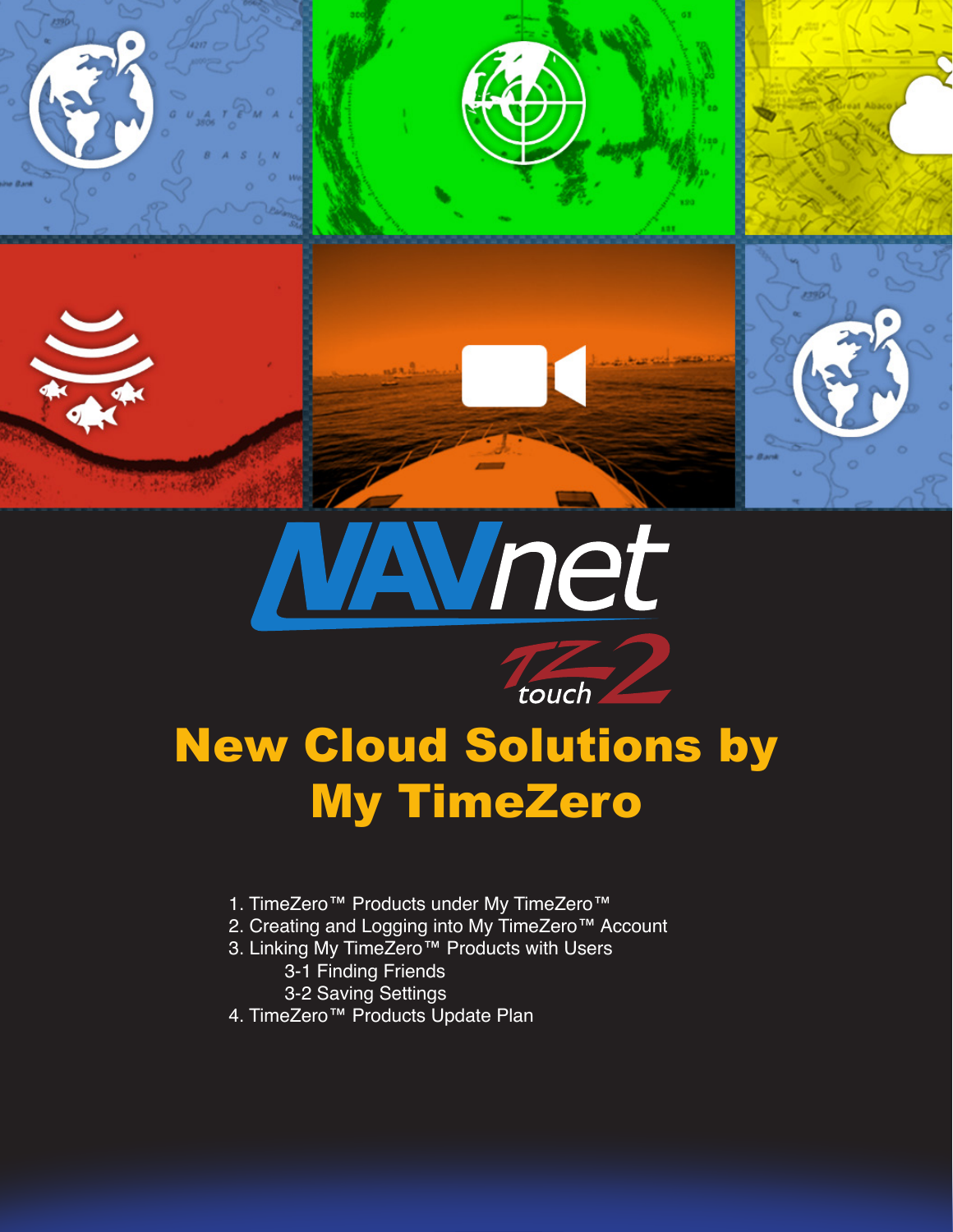





# New Cloud Solutions by My TimeZero

- 1. TimeZero™ Products under My TimeZero™
- 2. Creating and Logging into My TimeZero™ Account
- 3. Linking My TimeZero™ Products with Users
	- 3-1 Finding Friends
	- 3-2 Saving Settings
- 4. TimeZero™ Products Update Plan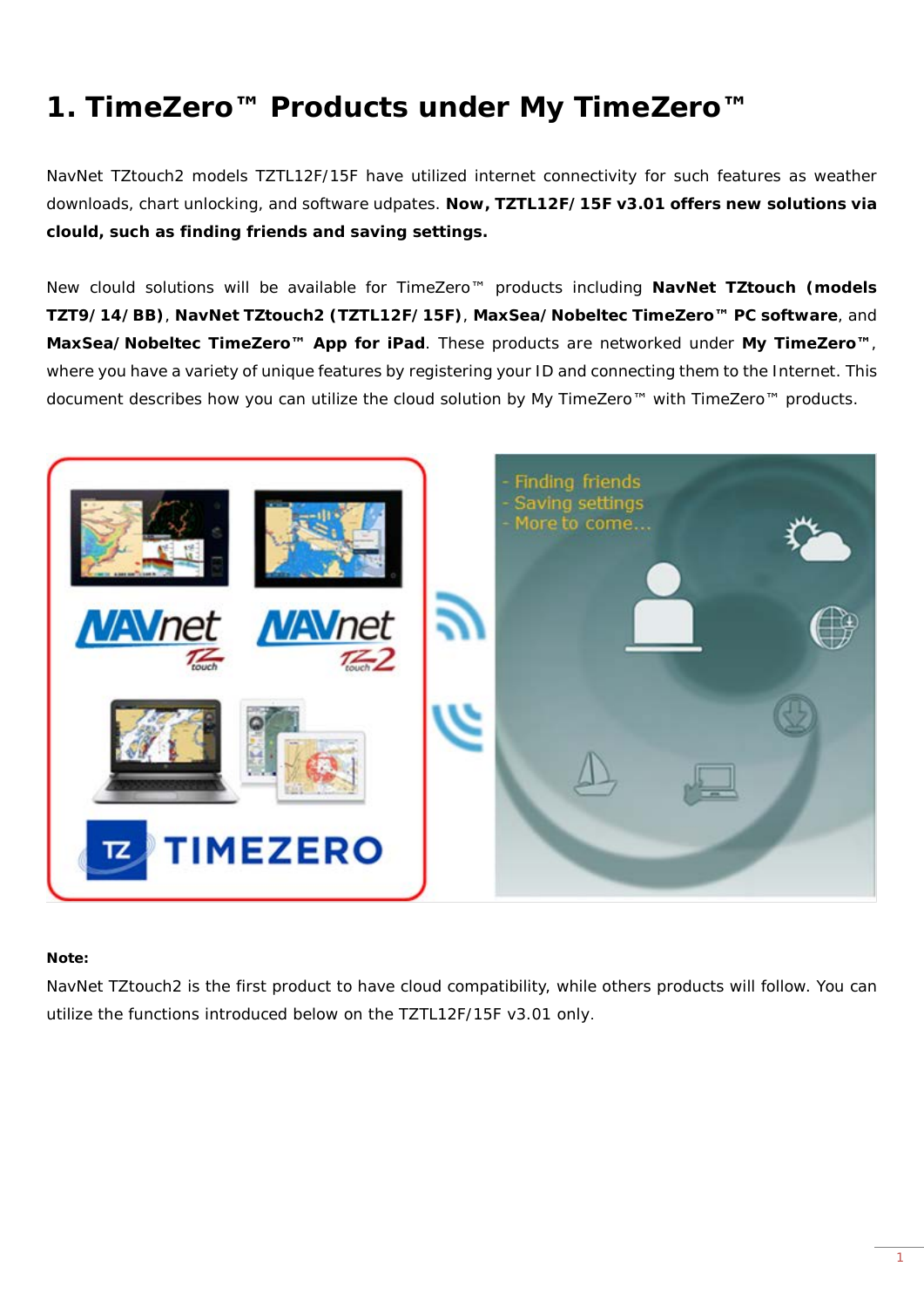### **1. TimeZero™ Products under My TimeZero™**

NavNet TZtouch2 models TZTL12F/15F have utilized internet connectivity for such features as weather downloads, chart unlocking, and software udpates. **Now, TZTL12F/15F v3.01 offers new solutions via clould, such as finding friends and saving settings.**

New clould solutions will be available for TimeZero™ products including **NavNet TZtouch (models TZT9/14/BB)**, **NavNet TZtouch2 (TZTL12F/15F)**, **MaxSea/Nobeltec TimeZero™ PC software**, and **MaxSea/Nobeltec TimeZero™ App for iPad**. These products are networked under **My TimeZero™**, where you have a variety of unique features by registering your ID and connecting them to the Internet. This document describes how you can utilize the cloud solution by My TimeZero™ with TimeZero™ products.



#### **Note:**

NavNet TZtouch2 is the first product to have cloud compatibility, while others products will follow. You can utilize the functions introduced below on the TZTL12F/15F v3.01 only.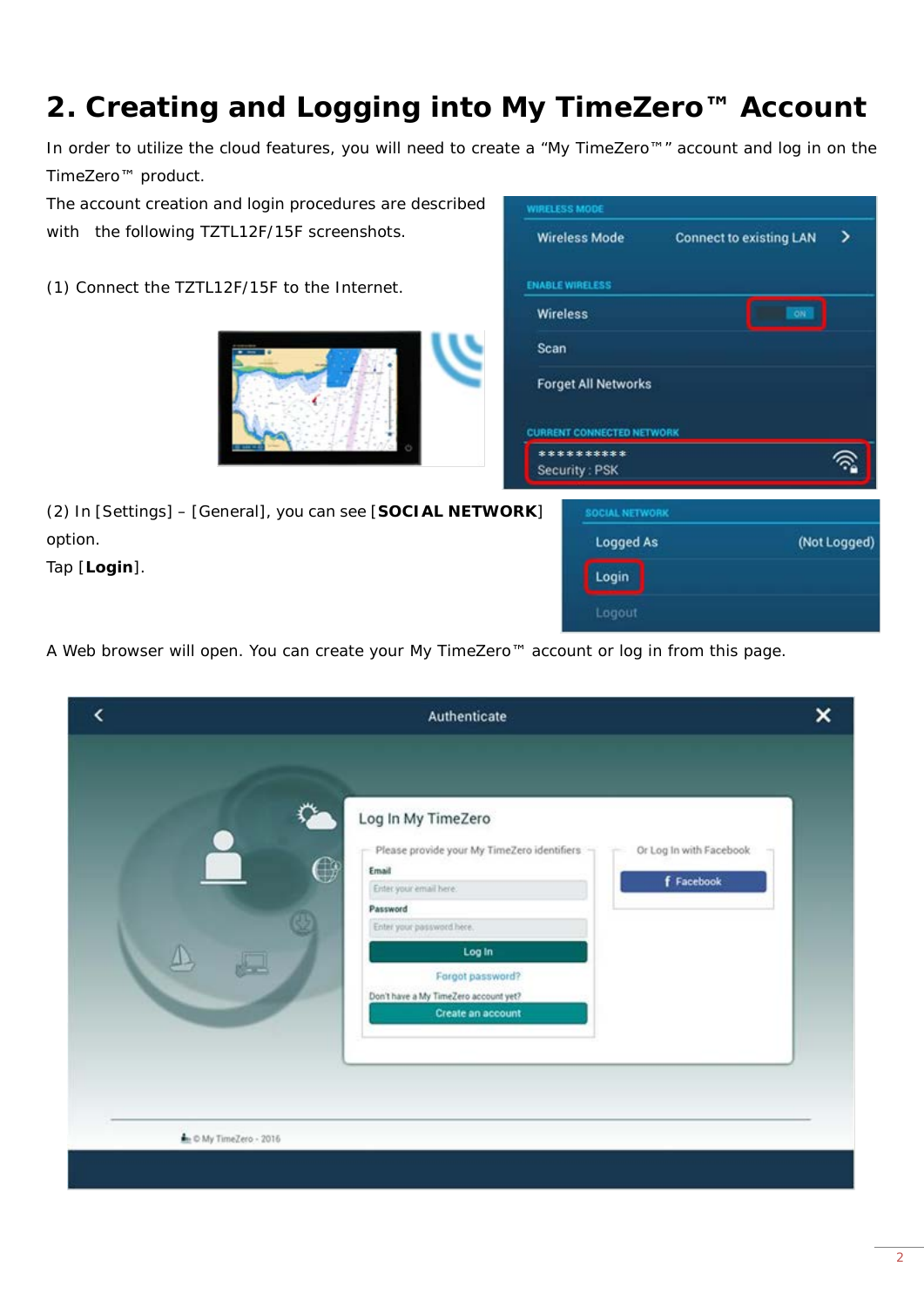# **2. Creating and Logging into My TimeZero™ Account**

In order to utilize the cloud features, you will need to create a "My TimeZero™" account and log in on the TimeZero™ product.

**WIRELESS MODE** 

**ENABLE WIRELESS** Wireless

Scan

CURRE  $**$ Sec

**Wireless Mode** 

**Forget All Networks** 

The account creation and login procedures are described with the following TZTL12F/15F screenshots.

(1) Connect the TZTL12F/15F to the Internet.



(2) In [Settings] – [General], you can see [**SOCIAL NETWORK**] option.

Tap [**Login**].

| T CONNECTED NETWORK  |              |
|----------------------|--------------|
| *******<br>rity: PSK |              |
| SOCIAL NETWORK       |              |
| <b>Logged As</b>     | (Not Logged) |
| Login                |              |
| Logout               |              |

**Connect to existing LAN** 

 $\overline{ }$ 

A Web browser will open. You can create your My TimeZero™ account or log in from this page.

| ‹                        | Authenticate                                                                                                                                            |                                       |
|--------------------------|---------------------------------------------------------------------------------------------------------------------------------------------------------|---------------------------------------|
| O                        | Log In My TimeZero<br>Please provide your My TimeZero identifiers<br>Email<br>Enter your email here.<br>Password<br>Enter your password here.<br>Log In | Or Log In with Facebook<br>f Facebook |
| the © My TimeZero - 2016 | Forgot password?<br>Don't have a My TimeZero account yet?<br>Create an account                                                                          |                                       |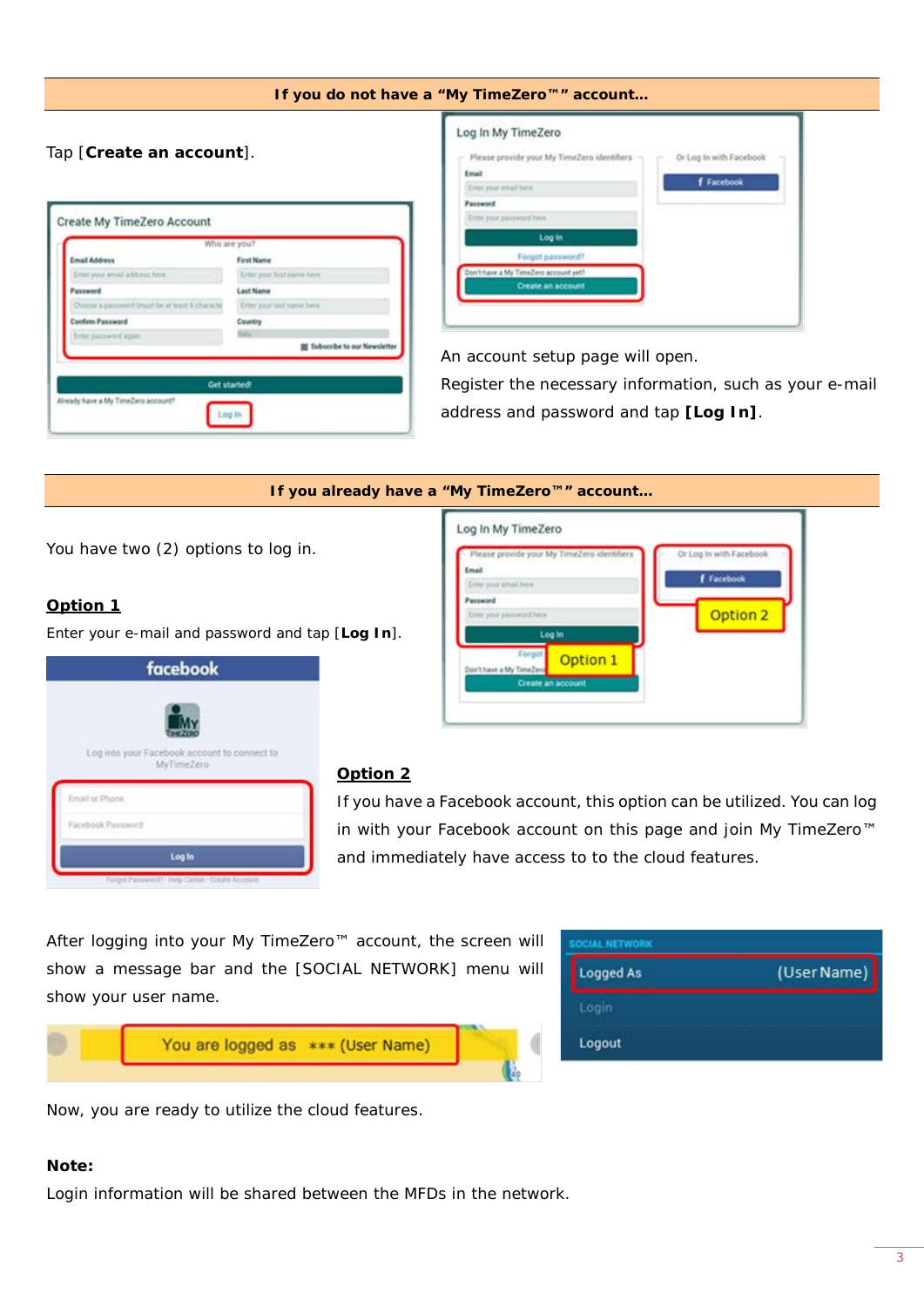| Tap [Create an account].                         |                             | Log In My TimeZero<br>Please provide your My TimeZero identifiers<br>Or Log In with Facebook<br>Email<br><b>f</b> Facebook<br>Exter your email here |
|--------------------------------------------------|-----------------------------|-----------------------------------------------------------------------------------------------------------------------------------------------------|
| Create My TimeZero Account                       |                             | Password<br>Either poor password here.                                                                                                              |
|                                                  | Who are you?                | Log in                                                                                                                                              |
| Email Address                                    | First Name                  | Forgot password?                                                                                                                                    |
| Enter your amail address here.                   | Enter your first name here. | Don't have a My TimeZero account yet?                                                                                                               |
| Password                                         | Last Name                   | Create an account                                                                                                                                   |
| Choose a passworld (must be at least 6 character | Enter your last name here.  |                                                                                                                                                     |
| <b>Confirm Password</b>                          | Country                     |                                                                                                                                                     |
| <b>Dree password again</b>                       |                             |                                                                                                                                                     |

Register the necessary information, such as your e-mail address and password and tap **[Log In]**.

|                                                  | If you already have a "My TimeZero™" account                                                                                |
|--------------------------------------------------|-----------------------------------------------------------------------------------------------------------------------------|
|                                                  | Log In My TimeZero                                                                                                          |
| You have two (2) options to log in.              | Please provide your My TimeZero identifiers<br>Or Log In with Facebook<br>Email<br><b>f</b> Facebook<br>one your email hime |
| Option 1                                         | Password<br>Option 2<br>Difer your password hand                                                                            |
| Enter your e-mail and password and tap [Log In]. | Log in                                                                                                                      |
| facebook                                         | Foron<br>Option 1<br>have a My TimeZen<br>Create an account                                                                 |
|                                                  |                                                                                                                             |

| MyTimeZero                                    | Log into your Facebook account to connect to |
|-----------------------------------------------|----------------------------------------------|
| Email or Phone                                |                                              |
| Facebook Password                             |                                              |
| Log In                                        |                                              |
| Forest Passworth Help Center - Create Annount |                                              |

ve a My TimeZero acco

#### **Option 2**

If you have a Facebook account, this option can be utilized. You can log in with your Facebook account on this page and join My TimeZero™ and immediately have access to to the cloud features.

After logging into your My TimeZero™ account, the screen will show a message bar and the [SOCIAL NETWORK] menu will show your user name.

| You are logged as *** (User Name) |  |
|-----------------------------------|--|
|                                   |  |

**SOCIAL NETWORK** Logged As (User Name) Logout

Now, you are ready to utilize the cloud features.

#### **Note:**

Login information will be shared between the MFDs in the network.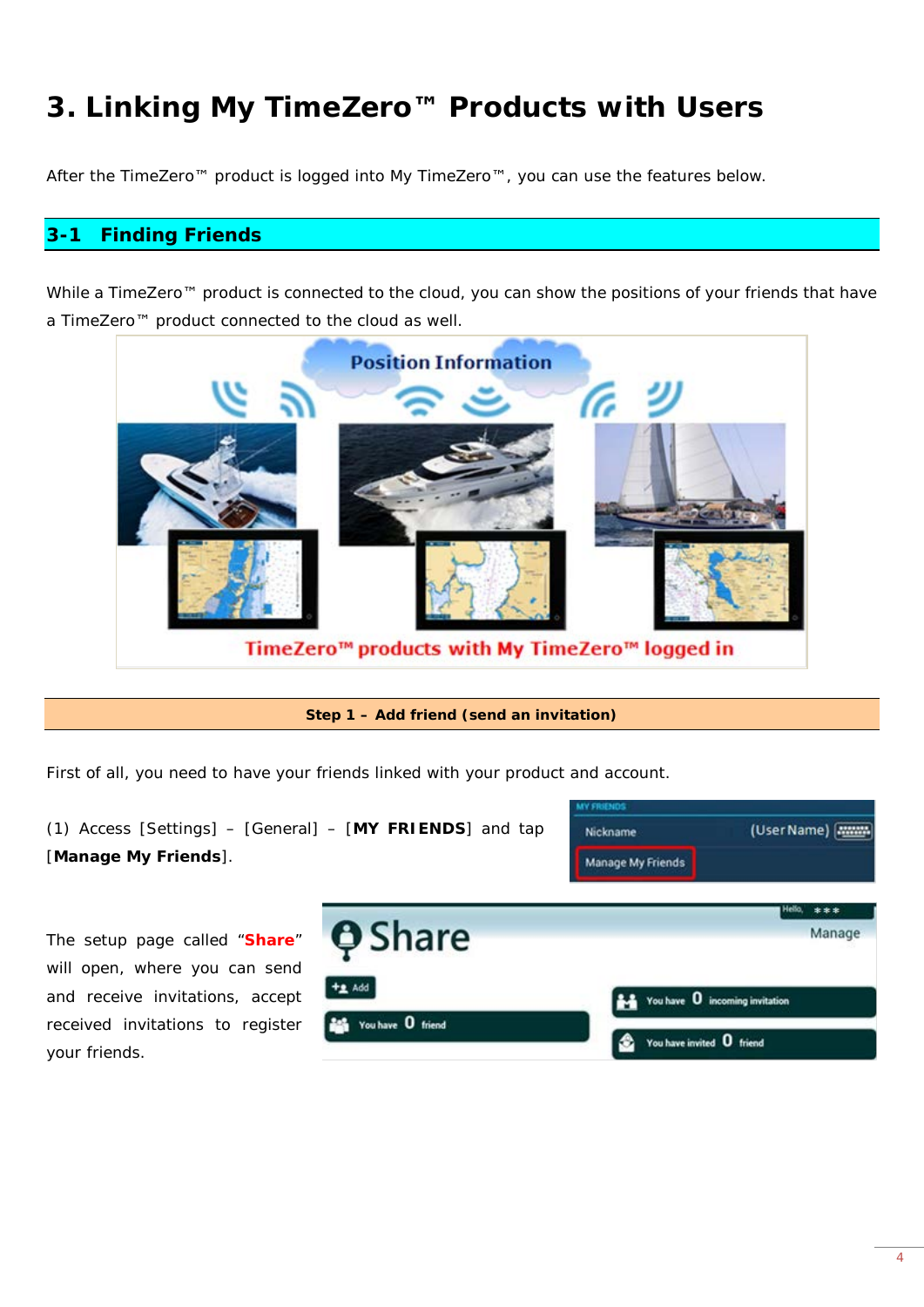## **3. Linking My TimeZero™ Products with Users**

After the TimeZero™ product is logged into My TimeZero™, you can use the features below.

### **3-1 Finding Friends**

While a TimeZero™ product is connected to the cloud, you can show the positions of your friends that have a TimeZero™ product connected to the cloud as well.



TimeZero<sup>m</sup> products with My TimeZero<sup>m</sup> logged in

#### **Step 1 – Add friend (send an invitation)**

First of all, you need to have your friends linked with your product and account.



The setup page called "**Share**" will open, where you can send and receive invitations, accept received invitations to register your friends.

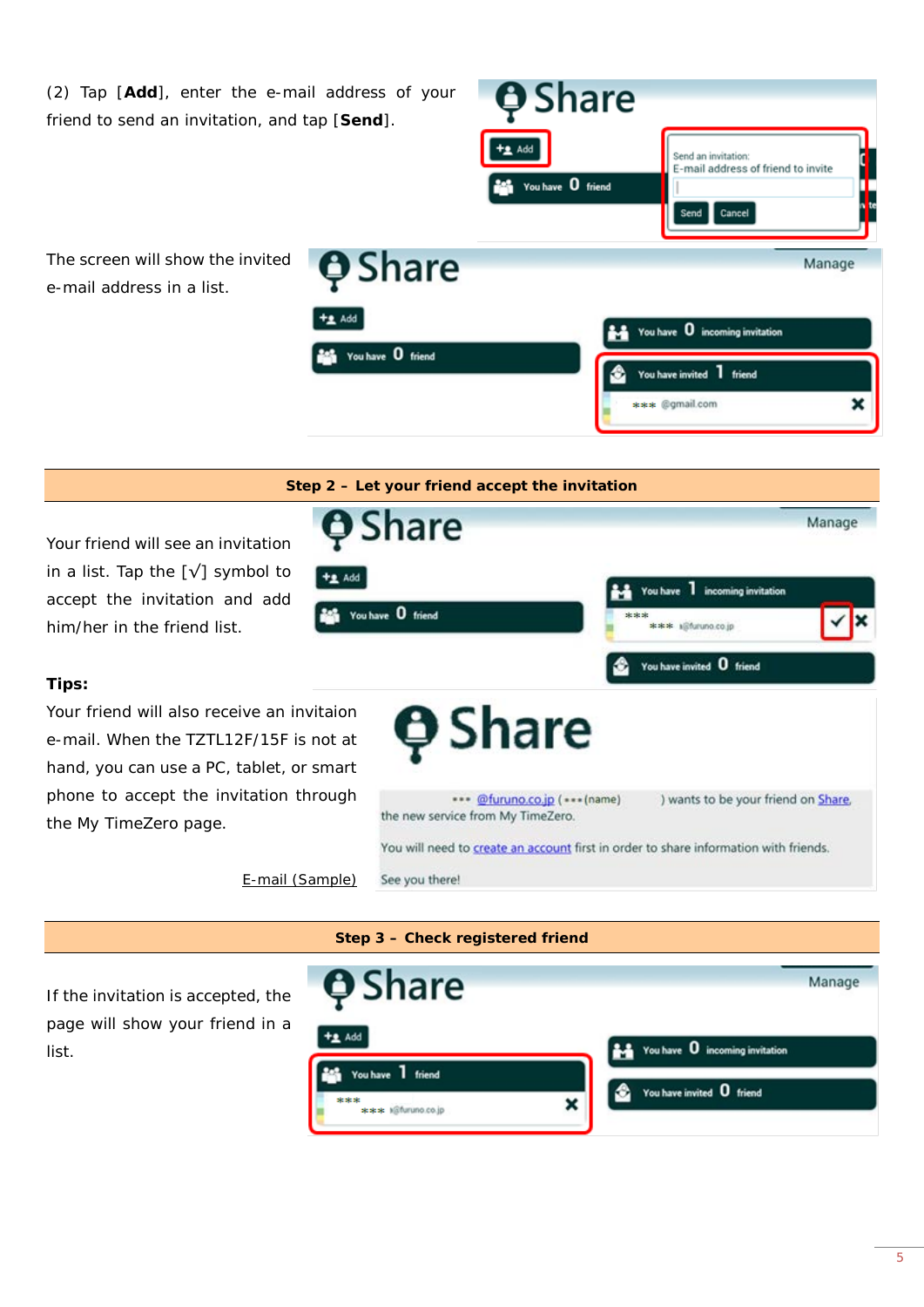

*E-mail (Sample)*

See you there!

list.

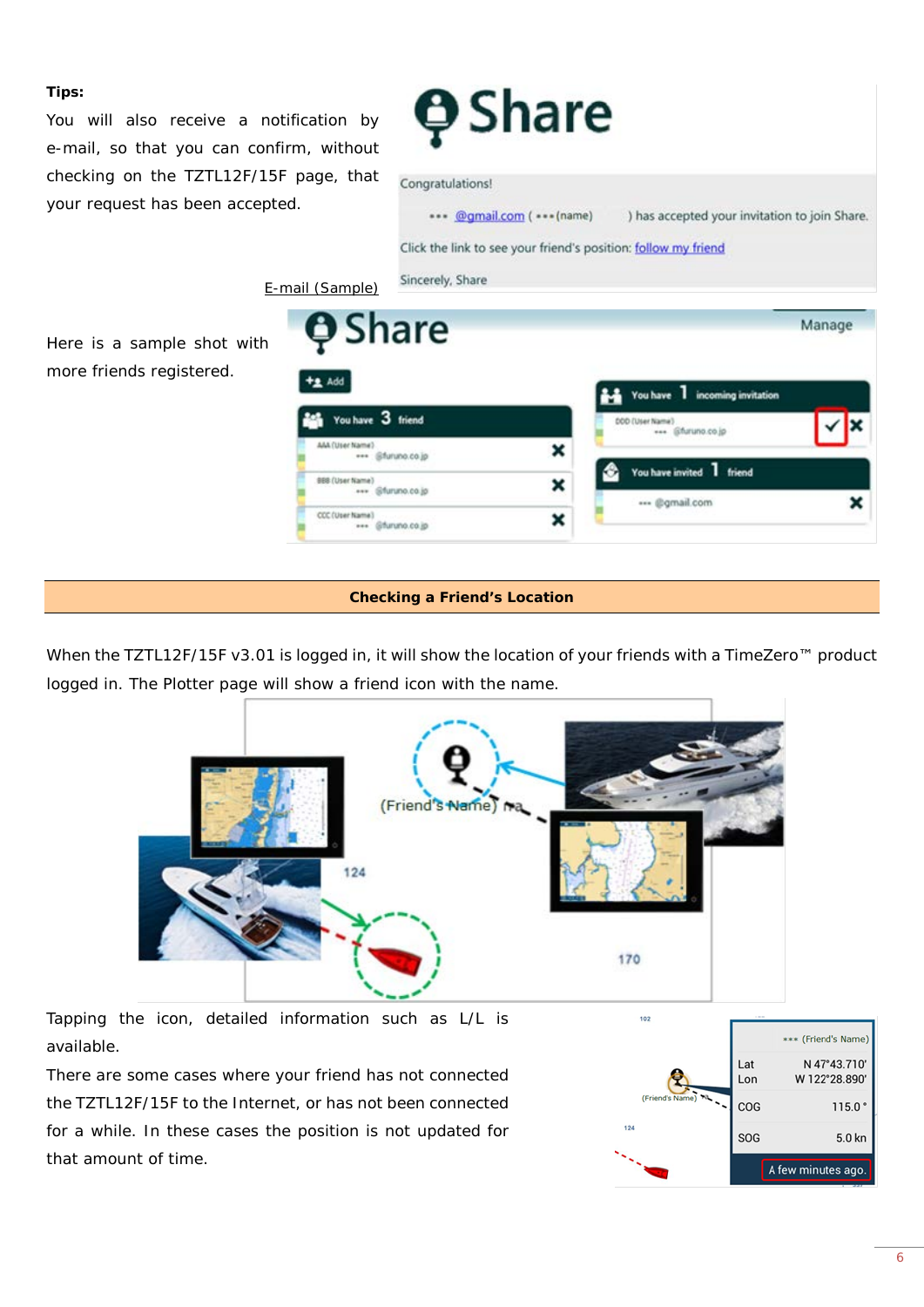#### **Tips:**

You will also receive a notification by e-mail, so that you can confirm, without checking on the TZTL12F/15F page, that your request has been accepted.

*E-mail (Sample)*

**A** Share



#### Congratulations!



Manage

Here is a sample shot with more friends registered.

| Add                                         |   | You have 1 incoming invitation   |  |
|---------------------------------------------|---|----------------------------------|--|
| You have 3 friend                           |   | DDD (User Name)<br>@furuno.co.jp |  |
| AAA (User Name)<br>*** @furuno.co.jp        | × |                                  |  |
| <b>BBB (User Name)</b><br>*** @furuno.co.jp | × | You have invited 1 friend        |  |
| CCC (User Name)<br>*** @furuno.co.jp        | × | @gmail.com                       |  |

#### **Checking a Friend's Location**

When the TZTL12F/15F v3.01 is logged in, it will show the location of your friends with a TimeZero<sup>™</sup> product logged in. The Plotter page will show a friend icon with the name.



Tapping the icon, detailed information such as L/L is available.

There are some cases where your friend has not connected the TZTL12F/15F to the Internet, or has not been connected for a while. In these cases the position is not updated for that amount of time.

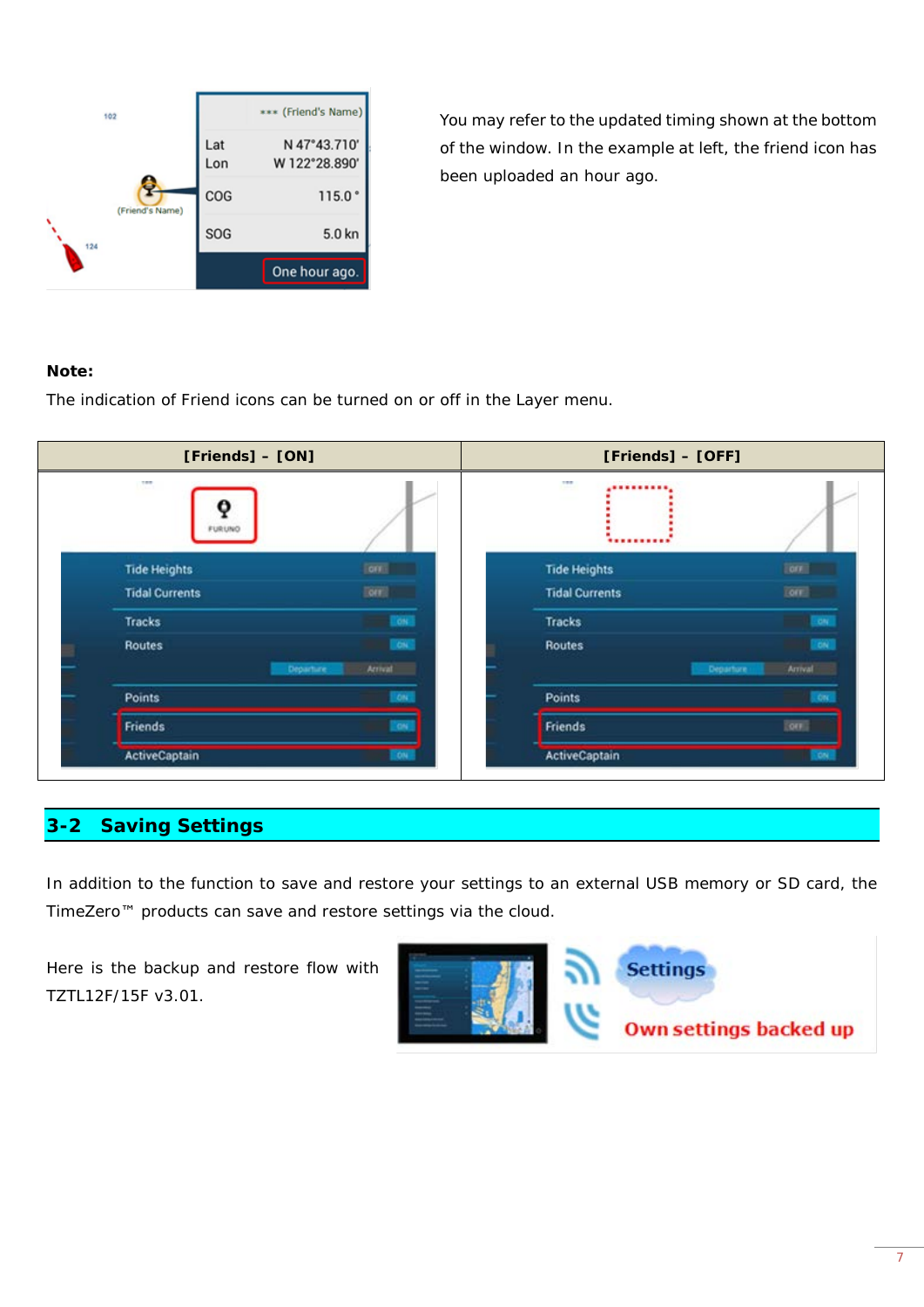| 102             |            | *** (Friend's Name)           |
|-----------------|------------|-------------------------------|
|                 | Lat<br>Lon | N 47°43.710'<br>W 122°28.890' |
| (Friend's Name) | COG        | 115.0°                        |
| 124             | SOG        | 5.0 kn                        |
|                 |            | One hour ago.                 |

You may refer to the updated timing shown at the bottom of the window. In the example at left, the friend icon has been uploaded an hour ago.

#### **Note:**

The indication of Friend icons can be turned on or off in the Layer menu.



### **3-2 Saving Settings**

In addition to the function to save and restore your settings to an external USB memory or SD card, the TimeZero™ products can save and restore settings via the cloud.

Here is the backup and restore flow with TZTL12F/15F v3.01.